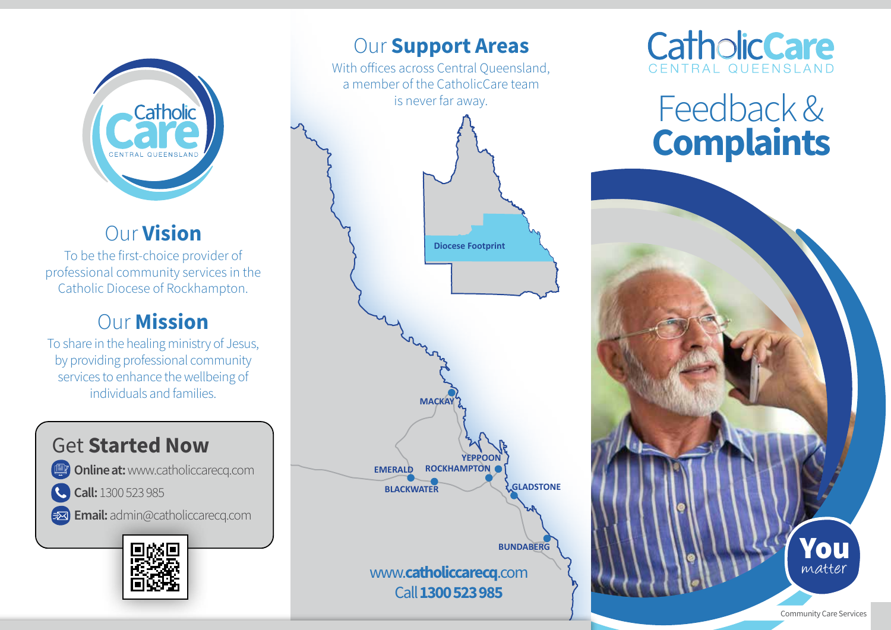

## Our Vision

To be the first-choice provider of professional community services in the Catholic Diocese of Rockhampton.

## Our Mission

To share in the healing ministry of Jesus, by providing professional community services to enhance the wellbeing of individuals and families.

## Get Started Now

Online at: www.catholiccarecq.com

Call: 1300 523 985

E**x** Email: admin@catholiccarecq.com



## **Our Support Areas**

With offices across Central Oueensland, a member of the CatholicCare team is never far away.





# Feedback & **Complaints**